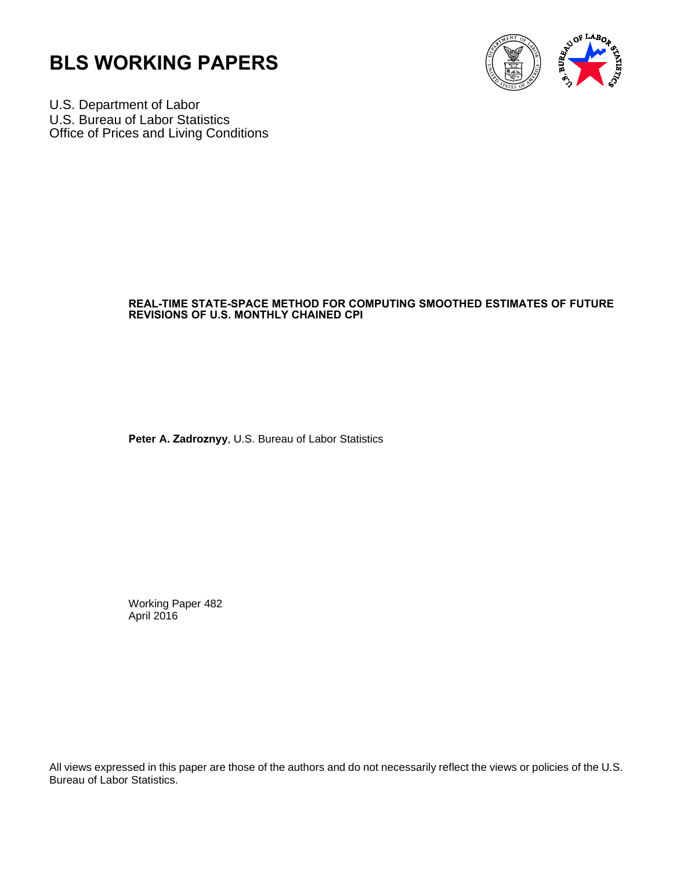



U.S. Department of Labor U.S. Bureau of Labor Statistics Office of Prices and Living Conditions

# **REAL-TIME STATE-SPACE METHOD FOR COMPUTING SMOOTHED ESTIMATES OF FUTURE REVISIONS OF U.S. MONTHLY CHAINED CPI**

**Peter A. Zadroznyy**, U.S. Bureau of Labor Statistics

Working Paper 482 April 2016

All views expressed in this paper are those of the authors and do not necessarily reflect the views or policies of the U.S. Bureau of Labor Statistics.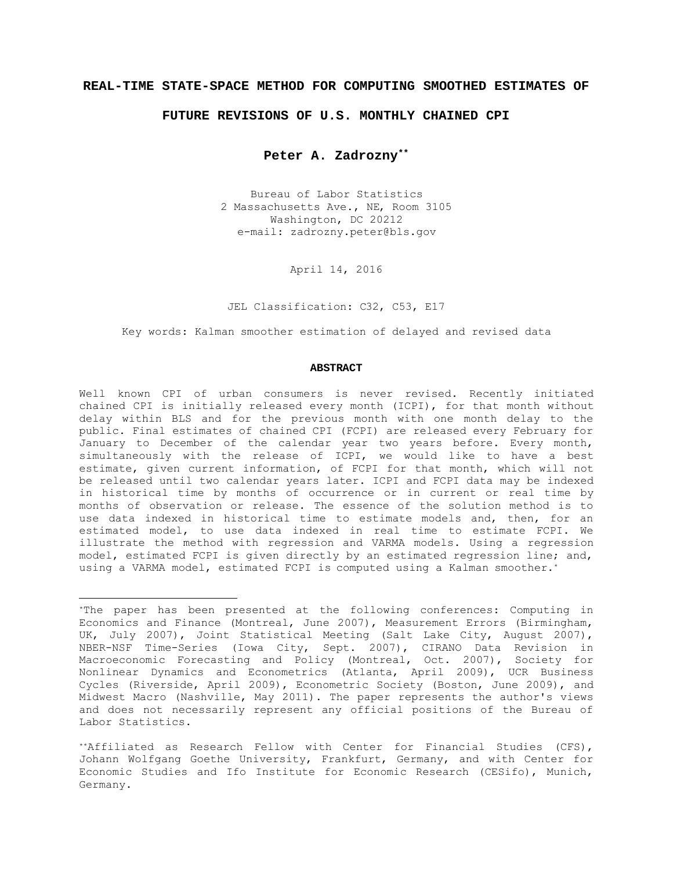### **REAL-TIME STATE-SPACE METHOD FOR COMPUTING SMOOTHED ESTIMATES OF**

### **FUTURE REVISIONS OF U.S. MONTHLY CHAINED CPI**

**Peter A. Zadrozny\*\***

Bureau of Labor Statistics 2 Massachusetts Ave., NE, Room 3105 Washington, DC 20212 e-mail: zadrozny.peter@bls.gov

April 14, 2016

JEL Classification: C32, C53, E17

Key words: Kalman smoother estimation of delayed and revised data

#### **ABSTRACT**

Well known CPI of urban consumers is never revised. Recently initiated chained CPI is initially released every month (ICPI), for that month without delay within BLS and for the previous month with one month delay to the public. Final estimates of chained CPI (FCPI) are released every February for January to December of the calendar year two years before. Every month, simultaneously with the release of ICPI, we would like to have a best estimate, given current information, of FCPI for that month, which will not be released until two calendar years later. ICPI and FCPI data may be indexed in historical time by months of occurrence or in current or real time by months of observation or release. The essence of the solution method is to use data indexed in historical time to estimate models and, then, for an estimated model, to use data indexed in real time to estimate FCPI. We illustrate the method with regression and VARMA models. Using a regression model, estimated FCPI is given directly by an estimated regression line; and, using a VARMA model, estimated FCPI is computed using a Kalman smoother.<sup>\*</sup>

<sup>\*</sup>The paper has been presented at the following conferences: Computing in Economics and Finance (Montreal, June 2007), Measurement Errors (Birmingham, UK, July 2007), Joint Statistical Meeting (Salt Lake City, August 2007), NBER-NSF Time-Series (Iowa City, Sept. 2007), CIRANO Data Revision in Macroeconomic Forecasting and Policy (Montreal, Oct. 2007), Society for Nonlinear Dynamics and Econometrics (Atlanta, April 2009), UCR Business Cycles (Riverside, April 2009), Econometric Society (Boston, June 2009), and Midwest Macro (Nashville, May 2011). The paper represents the author's views and does not necessarily represent any official positions of the Bureau of Labor Statistics.

<sup>\*\*</sup>Affiliated as Research Fellow with Center for Financial Studies (CFS), Johann Wolfgang Goethe University, Frankfurt, Germany, and with Center for Economic Studies and Ifo Institute for Economic Research (CESifo), Munich, Germany.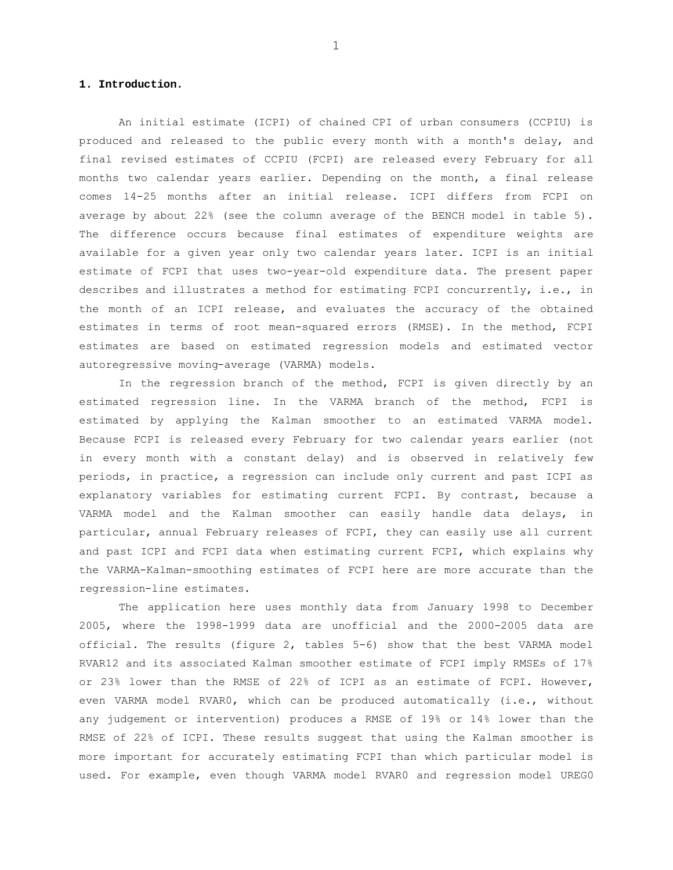## **1. Introduction.**

An initial estimate (ICPI) of chained CPI of urban consumers (CCPIU) is produced and released to the public every month with a month's delay, and final revised estimates of CCPIU (FCPI) are released every February for all months two calendar years earlier. Depending on the month, a final release comes 14-25 months after an initial release. ICPI differs from FCPI on average by about 22% (see the column average of the BENCH model in table 5). The difference occurs because final estimates of expenditure weights are available for a given year only two calendar years later. ICPI is an initial estimate of FCPI that uses two-year-old expenditure data. The present paper describes and illustrates a method for estimating FCPI concurrently, i.e., in the month of an ICPI release, and evaluates the accuracy of the obtained estimates in terms of root mean-squared errors (RMSE). In the method, FCPI estimates are based on estimated regression models and estimated vector autoregressive moving-average (VARMA) models.

In the regression branch of the method, FCPI is given directly by an estimated regression line. In the VARMA branch of the method, FCPI is estimated by applying the Kalman smoother to an estimated VARMA model. Because FCPI is released every February for two calendar years earlier (not in every month with a constant delay) and is observed in relatively few periods, in practice, a regression can include only current and past ICPI as explanatory variables for estimating current FCPI. By contrast, because a VARMA model and the Kalman smoother can easily handle data delays, in particular, annual February releases of FCPI, they can easily use all current and past ICPI and FCPI data when estimating current FCPI, which explains why the VARMA-Kalman-smoothing estimates of FCPI here are more accurate than the regression-line estimates.

The application here uses monthly data from January 1998 to December 2005, where the 1998-1999 data are unofficial and the 2000-2005 data are official. The results (figure 2, tables 5-6) show that the best VARMA model RVAR12 and its associated Kalman smoother estimate of FCPI imply RMSEs of 17% or 23% lower than the RMSE of 22% of ICPI as an estimate of FCPI. However, even VARMA model RVAR0, which can be produced automatically (i.e., without any judgement or intervention) produces a RMSE of 19% or 14% lower than the RMSE of 22% of ICPI. These results suggest that using the Kalman smoother is more important for accurately estimating FCPI than which particular model is used. For example, even though VARMA model RVAR0 and regression model UREG0

1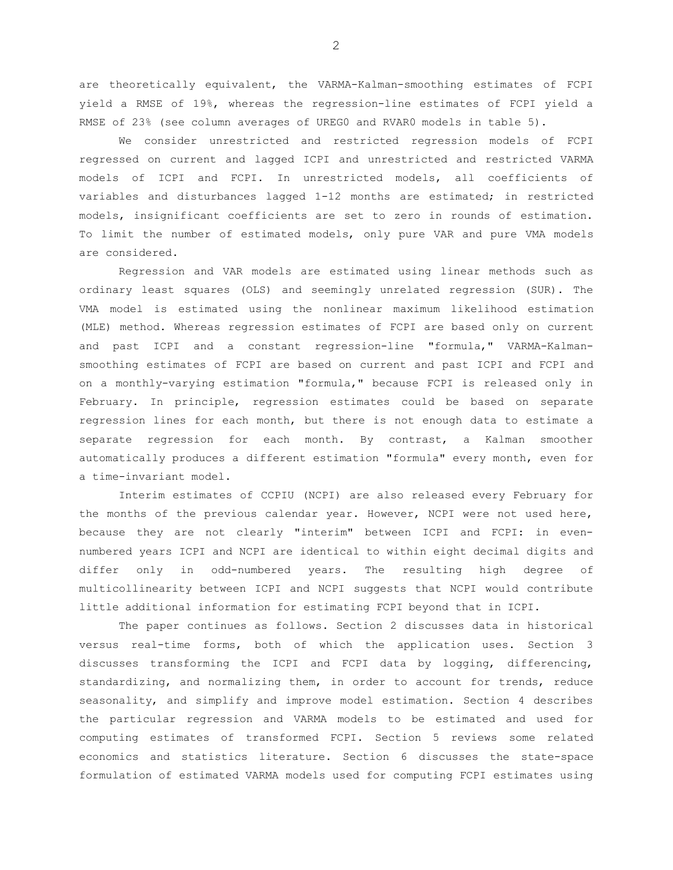are theoretically equivalent, the VARMA-Kalman-smoothing estimates of FCPI yield a RMSE of 19%, whereas the regression-line estimates of FCPI yield a RMSE of 23% (see column averages of UREG0 and RVAR0 models in table 5).

We consider unrestricted and restricted regression models of FCPI regressed on current and lagged ICPI and unrestricted and restricted VARMA models of ICPI and FCPI. In unrestricted models, all coefficients of variables and disturbances lagged 1-12 months are estimated; in restricted models, insignificant coefficients are set to zero in rounds of estimation. To limit the number of estimated models, only pure VAR and pure VMA models are considered.

Regression and VAR models are estimated using linear methods such as ordinary least squares (OLS) and seemingly unrelated regression (SUR). The VMA model is estimated using the nonlinear maximum likelihood estimation (MLE) method. Whereas regression estimates of FCPI are based only on current and past ICPI and a constant regression-line "formula," VARMA-Kalmansmoothing estimates of FCPI are based on current and past ICPI and FCPI and on a monthly-varying estimation "formula," because FCPI is released only in February. In principle, regression estimates could be based on separate regression lines for each month, but there is not enough data to estimate a separate regression for each month. By contrast, a Kalman smoother automatically produces a different estimation "formula" every month, even for a time-invariant model.

Interim estimates of CCPIU (NCPI) are also released every February for the months of the previous calendar year. However, NCPI were not used here, because they are not clearly "interim" between ICPI and FCPI: in evennumbered years ICPI and NCPI are identical to within eight decimal digits and differ only in odd-numbered years. The resulting high degree of multicollinearity between ICPI and NCPI suggests that NCPI would contribute little additional information for estimating FCPI beyond that in ICPI.

The paper continues as follows. Section 2 discusses data in historical versus real-time forms, both of which the application uses. Section 3 discusses transforming the ICPI and FCPI data by logging, differencing, standardizing, and normalizing them, in order to account for trends, reduce seasonality, and simplify and improve model estimation. Section 4 describes the particular regression and VARMA models to be estimated and used for computing estimates of transformed FCPI. Section 5 reviews some related economics and statistics literature. Section 6 discusses the state-space formulation of estimated VARMA models used for computing FCPI estimates using

2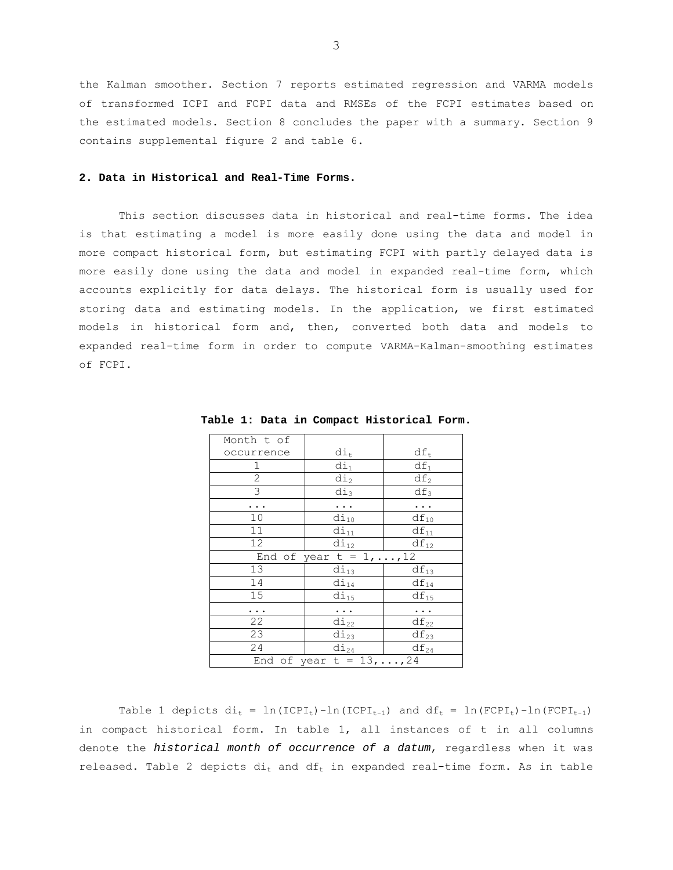the Kalman smoother. Section 7 reports estimated regression and VARMA models of transformed ICPI and FCPI data and RMSEs of the FCPI estimates based on the estimated models. Section 8 concludes the paper with a summary. Section 9 contains supplemental figure 2 and table 6.

### **2. Data in Historical and Real-Time Forms.**

This section discusses data in historical and real-time forms. The idea is that estimating a model is more easily done using the data and model in more compact historical form, but estimating FCPI with partly delayed data is more easily done using the data and model in expanded real-time form, which accounts explicitly for data delays. The historical form is usually used for storing data and estimating models. In the application, we first estimated models in historical form and, then, converted both data and models to expanded real-time form in order to compute VARMA-Kalman-smoothing estimates of FCPI.

| Month t of                       |                                 |           |  |  |  |  |  |
|----------------------------------|---------------------------------|-----------|--|--|--|--|--|
| occurrence                       | di <sub>t</sub>                 | $df_t$    |  |  |  |  |  |
| 1                                | di <sub>1</sub>                 | $df_1$    |  |  |  |  |  |
| $\overline{c}$                   | di <sub>2</sub>                 | $df_2$    |  |  |  |  |  |
| $\overline{\omega}$              | $di_3$                          | $df_3$    |  |  |  |  |  |
|                                  |                                 |           |  |  |  |  |  |
| 10                               | $di_{10}$                       | $df_{10}$ |  |  |  |  |  |
| 11                               | $di_{11}$                       | $df_{11}$ |  |  |  |  |  |
| 12                               | $di_{12}$                       | $df_{12}$ |  |  |  |  |  |
|                                  | End of year $t = 1, \ldots, 12$ |           |  |  |  |  |  |
| 13                               | $di_{13}$                       | $df_{13}$ |  |  |  |  |  |
| 14                               | $di_{14}$                       | $df_{14}$ |  |  |  |  |  |
| 15                               | $di_{15}$                       | $df_{15}$ |  |  |  |  |  |
|                                  |                                 | .         |  |  |  |  |  |
| 22                               | $di_{22}$                       | $df_{22}$ |  |  |  |  |  |
| 23                               | $di_{23}$                       | $df_{23}$ |  |  |  |  |  |
| 24                               | $di_{24}$                       | $df_{24}$ |  |  |  |  |  |
| End of year $t = 13, \ldots, 24$ |                                 |           |  |  |  |  |  |

**Table 1: Data in Compact Historical Form.** 

Table 1 depicts  $di_t = ln(ICPI_t)-ln(ICPI_{t-1})$  and  $df_t = ln(FCPI_t)-ln(FCPI_{t-1})$ in compact historical form. In table 1, all instances of t in all columns denote the *historical month of occurrence of a datum*, regardless when it was released. Table 2 depicts  $di_t$  and  $df_t$  in expanded real-time form. As in table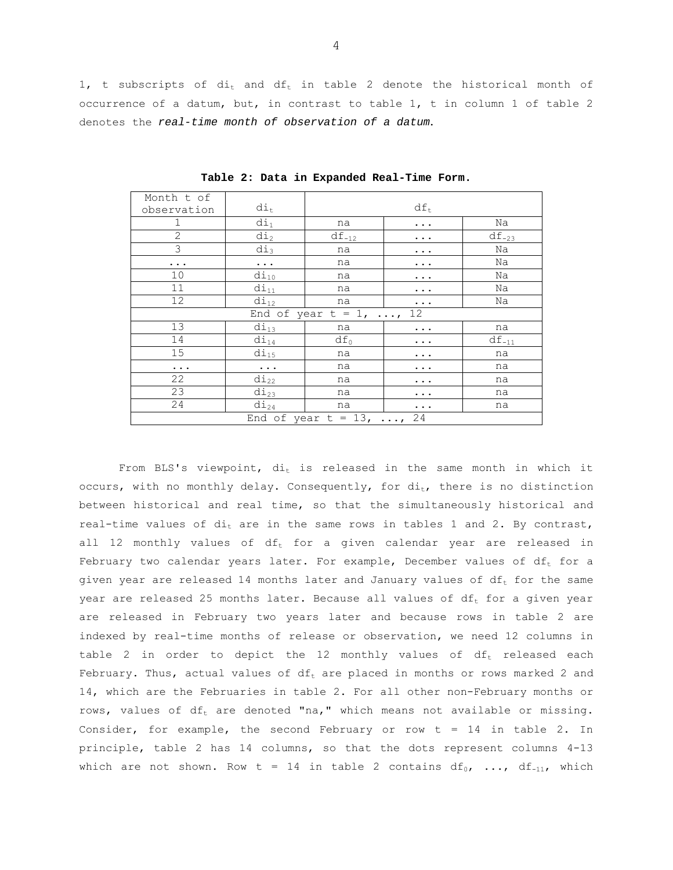1, t subscripts of  $di_t$  and  $df_t$  in table 2 denote the historical month of occurrence of a datum, but, in contrast to table 1, t in column 1 of table 2 denotes the *real-time month of observation of a datum*.

| Month t of                     |                                            |                      |          |            |  |  |  |  |  |
|--------------------------------|--------------------------------------------|----------------------|----------|------------|--|--|--|--|--|
| observation                    | $di_t$                                     | $df_t$               |          |            |  |  |  |  |  |
| 1                              | $di_1$                                     | na                   | Na       |            |  |  |  |  |  |
| $\overline{2}$                 | $di_2$                                     | $df_{-12}$           | .        | $df_{-23}$ |  |  |  |  |  |
| $\overline{3}$                 | $di_3$                                     | na                   | .        | Na         |  |  |  |  |  |
| .                              | $\ddotsc$                                  | na                   | .        | Na         |  |  |  |  |  |
| 10                             | $di_{10}$                                  | na                   |          | Na         |  |  |  |  |  |
| 11                             | $di_{11}$                                  | na                   |          | Na         |  |  |  |  |  |
| 12                             | $di_{12}$                                  | Na<br>na<br>$\cdots$ |          |            |  |  |  |  |  |
|                                | End of year $t = 1$ , ,<br>12 <sup>°</sup> |                      |          |            |  |  |  |  |  |
| 13                             | $di_{13}$                                  | na                   | .        | na         |  |  |  |  |  |
| 14                             | $di_{14}$                                  | $df_0$               | .        | $df_{-11}$ |  |  |  |  |  |
| 15                             | $di_{15}$                                  | na                   | .        | na         |  |  |  |  |  |
| $\cdots$                       | $\ldots$ .                                 | na                   | $\cdots$ | na         |  |  |  |  |  |
| 22                             | $di_{22}$                                  | na                   | .        | na         |  |  |  |  |  |
| 23                             | $di_{23}$                                  | na<br>na             |          |            |  |  |  |  |  |
| 24                             | $di_{24}$                                  | na                   |          | na         |  |  |  |  |  |
| End of year $t = 13$ , ,<br>24 |                                            |                      |          |            |  |  |  |  |  |

**Table 2: Data in Expanded Real-Time Form.** 

From BLS's viewpoint,  $di_t$  is released in the same month in which it occurs, with no monthly delay. Consequently, for  $di_t$ , there is no distinction between historical and real time, so that the simultaneously historical and real-time values of  $di_t$  are in the same rows in tables 1 and 2. By contrast, all 12 monthly values of  $df_t$  for a given calendar year are released in February two calendar years later. For example, December values of  $df_t$  for a given year are released 14 months later and January values of  $df_t$  for the same year are released 25 months later. Because all values of  $df_t$  for a given year are released in February two years later and because rows in table 2 are indexed by real-time months of release or observation, we need 12 columns in table 2 in order to depict the 12 monthly values of  $df_t$  released each February. Thus, actual values of  $df_t$  are placed in months or rows marked 2 and 14, which are the Februaries in table 2. For all other non-February months or rows, values of  $df_t$  are denoted "na," which means not available or missing. Consider, for example, the second February or row t = 14 in table 2. In principle, table 2 has 14 columns, so that the dots represent columns 4-13 which are not shown. Row t = 14 in table 2 contains  $df_0$ , ...,  $df_{-11}$ , which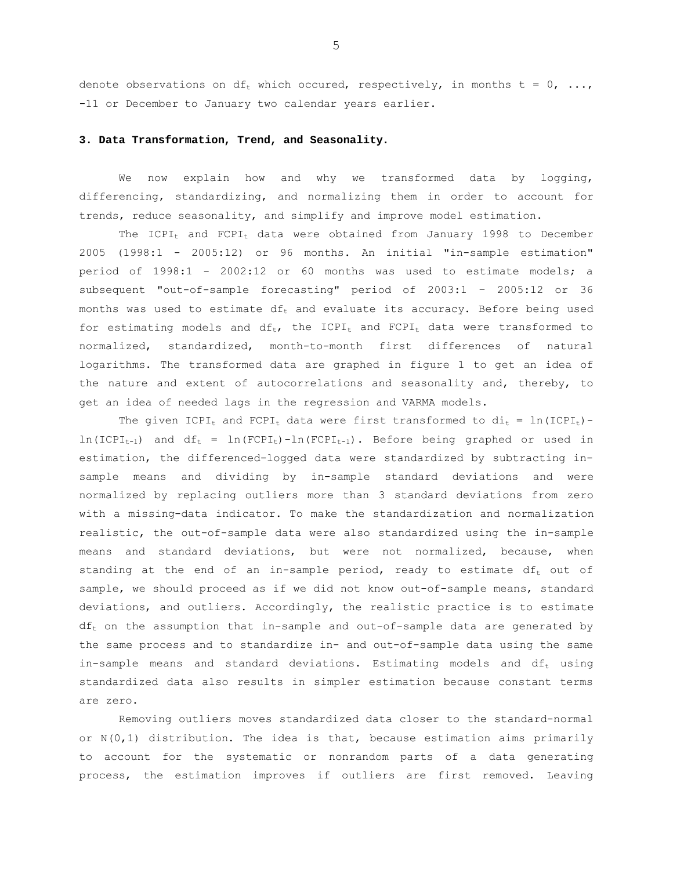denote observations on  $df_t$  which occured, respectively, in months  $t = 0, ...,$ -11 or December to January two calendar years earlier.

### **3. Data Transformation, Trend, and Seasonality.**

We now explain how and why we transformed data by logging, differencing, standardizing, and normalizing them in order to account for trends, reduce seasonality, and simplify and improve model estimation.

The  $ICPI_t$  and  $FCPI_t$  data were obtained from January 1998 to December 2005 (1998:1 - 2005:12) or 96 months. An initial "in-sample estimation" period of 1998:1 - 2002:12 or 60 months was used to estimate models; a subsequent "out-of-sample forecasting" period of 2003:1 – 2005:12 or 36 months was used to estimate  $df_t$  and evaluate its accuracy. Before being used for estimating models and  $df_t$ , the ICPI<sub>t</sub> and  $FCPI_t$  data were transformed to normalized, standardized, month-to-month first differences of natural logarithms. The transformed data are graphed in figure 1 to get an idea of the nature and extent of autocorrelations and seasonality and, thereby, to get an idea of needed lags in the regression and VARMA models.

The given ICPI<sub>t</sub> and FCPI<sub>t</sub> data were first transformed to  $di_t = ln(ICPI_t) \ln(\text{ICPI}_{t-1})$  and  $df_t = \ln(\text{FCPI}_t) - \ln(\text{FCPI}_{t-1})$ . Before being graphed or used in estimation, the differenced-logged data were standardized by subtracting insample means and dividing by in-sample standard deviations and were normalized by replacing outliers more than 3 standard deviations from zero with a missing-data indicator. To make the standardization and normalization realistic, the out-of-sample data were also standardized using the in-sample means and standard deviations, but were not normalized, because, when standing at the end of an in-sample period, ready to estimate  $df_t$  out of sample, we should proceed as if we did not know out-of-sample means, standard deviations, and outliers. Accordingly, the realistic practice is to estimate  $df_t$  on the assumption that in-sample and out-of-sample data are generated by the same process and to standardize in- and out-of-sample data using the same in-sample means and standard deviations. Estimating models and  $df_t$  using standardized data also results in simpler estimation because constant terms are zero.

Removing outliers moves standardized data closer to the standard-normal or  $N(0,1)$  distribution. The idea is that, because estimation aims primarily to account for the systematic or nonrandom parts of a data generating process, the estimation improves if outliers are first removed. Leaving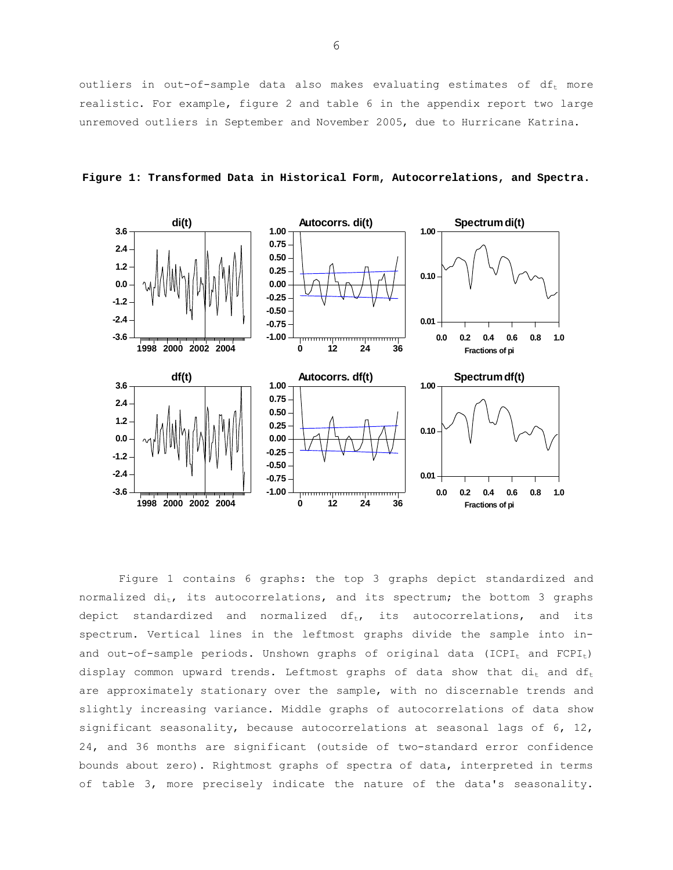outliers in out-of-sample data also makes evaluating estimates of  $df_t$  more realistic. For example, figure 2 and table 6 in the appendix report two large unremoved outliers in September and November 2005, due to Hurricane Katrina.



**Figure 1: Transformed Data in Historical Form, Autocorrelations, and Spectra.** 

Figure 1 contains 6 graphs: the top 3 graphs depict standardized and normalized  $di_t$ , its autocorrelations, and its spectrum; the bottom 3 graphs depict standardized and normalized  $df_t$ , its autocorrelations, and its spectrum. Vertical lines in the leftmost graphs divide the sample into inand out-of-sample periods. Unshown graphs of original data (ICPI<sub>t</sub> and FCPI<sub>t</sub>) display common upward trends. Leftmost graphs of data show that  $di_t$  and  $df_t$ are approximately stationary over the sample, with no discernable trends and slightly increasing variance. Middle graphs of autocorrelations of data show significant seasonality, because autocorrelations at seasonal lags of 6, 12, 24, and 36 months are significant (outside of two-standard error confidence bounds about zero). Rightmost graphs of spectra of data, interpreted in terms of table 3, more precisely indicate the nature of the data's seasonality.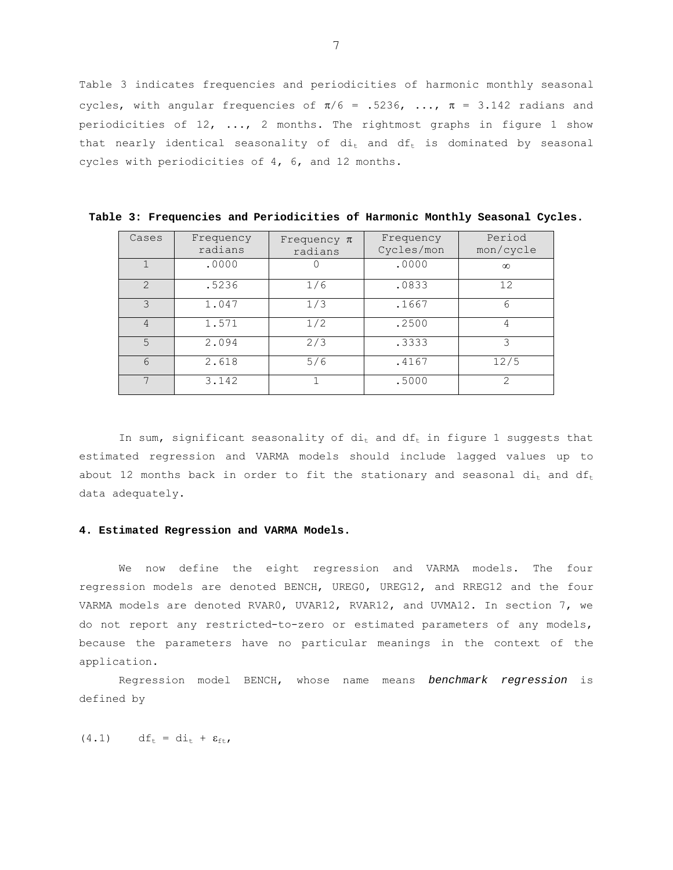Table 3 indicates frequencies and periodicities of harmonic monthly seasonal cycles, with angular frequencies of  $\pi/6$  = .5236, ...,  $\pi$  = 3.142 radians and periodicities of 12, ..., 2 months. The rightmost graphs in figure 1 show that nearly identical seasonality of  $di_t$  and  $df_t$  is dominated by seasonal cycles with periodicities of 4, 6, and 12 months.

| Cases           | Frequency<br>radians | Frequency $\pi$<br>radians | Frequency<br>Cycles/mon | Period<br>mon/cycle |  |
|-----------------|----------------------|----------------------------|-------------------------|---------------------|--|
|                 | .0000                |                            | .0000                   | $\infty$            |  |
| $\mathcal{P}$   | .5236                | 1/6                        | .0833                   | 12                  |  |
| $\mathcal{L}$   | 1.047                | 1/3                        | .1667                   | 6                   |  |
| $\overline{4}$  | 1.571                | 1/2                        | .2500                   | 4                   |  |
| 5               | 2.094                | 2/3                        | .3333                   | 3                   |  |
| $6\overline{6}$ | 2.618                | 5/6                        | .4167                   | 12/5                |  |
|                 | 3.142                |                            | .5000                   | 2                   |  |

**Table 3: Frequencies and Periodicities of Harmonic Monthly Seasonal Cycles.** 

In sum, significant seasonality of  $di_t$  and  $df_t$  in figure 1 suggests that estimated regression and VARMA models should include lagged values up to about 12 months back in order to fit the stationary and seasonal  $di_t$  and  $df_t$ data adequately.

#### **4. Estimated Regression and VARMA Models.**

We now define the eight regression and VARMA models. The four regression models are denoted BENCH, UREG0, UREG12, and RREG12 and the four VARMA models are denoted RVAR0, UVAR12, RVAR12, and UVMA12. In section 7, we do not report any restricted-to-zero or estimated parameters of any models, because the parameters have no particular meanings in the context of the application.

Regression model BENCH, whose name means *benchmark regression* is defined by

 $(4.1)$  df<sub>t</sub> = di<sub>t</sub> +  $\varepsilon_{\text{ft}}$ ,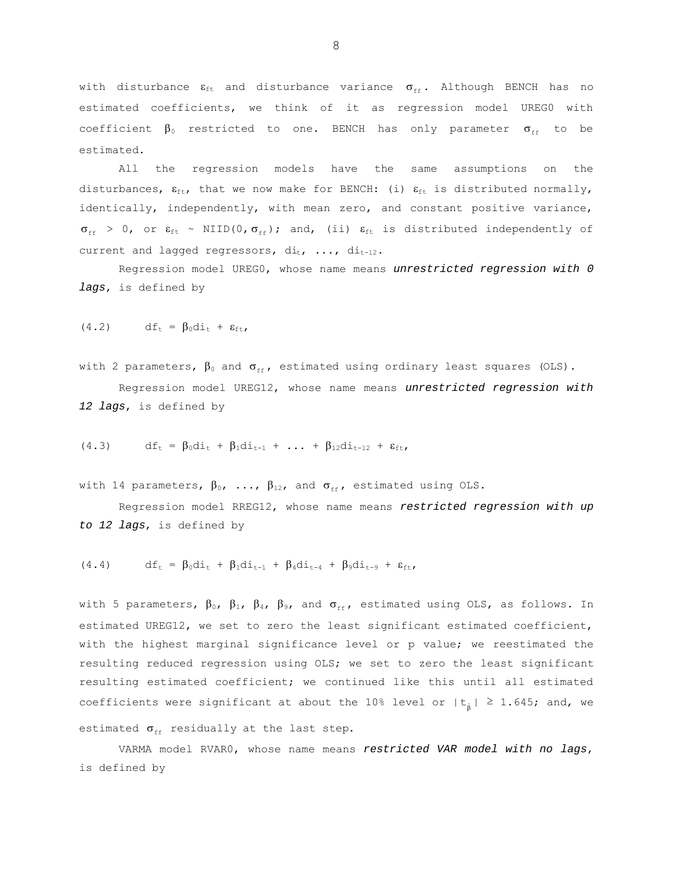with disturbance  $\varepsilon_{\text{ft}}$  and disturbance variance  $\sigma_{\text{ff}}$ . Although BENCH has no estimated coefficients, we think of it as regression model UREGO with coefficient  $\beta_0$  restricted to one. BENCH has only parameter  $\sigma_{\epsilon\epsilon}$  to be estimated.

All the regression models have the same assumptions on the disturbances,  $\varepsilon_{\text{ft}}$ , that we now make for BENCH: (i)  $\varepsilon_{\text{ft}}$  is distributed normally, identically, independently, with mean zero, and constant positive variance,  $\sigma_{\text{ff}}$  > 0, or  $\varepsilon_{\text{ft}}$  ~ NIID(0,  $\sigma_{\text{ff}}$ ); and, (ii)  $\varepsilon_{\text{ft}}$  is distributed independently of current and lagged regressors,  $di_t$ , ...,  $di_{t-12}$ .

Regression model UREG0, whose name means *unrestricted regression with 0 lags*, is defined by

$$
(4.2) \t dft = \beta_0 d it + \varepsilon_{ft}
$$

with 2 parameters,  $\beta_0$  and  $\sigma_{ff}$ , estimated using ordinary least squares (OLS).

Regression model UREG12, whose name means *unrestricted regression with 12 lags*, is defined by

(4.3) 
$$
df_t = \beta_0 di_t + \beta_1 di_{t-1} + ... + \beta_{12} di_{t-12} + \varepsilon_{ft},
$$

with 14 parameters,  $\beta_0$ , ...,  $\beta_{12}$ , and  $\sigma_{\text{ff}}$ , estimated using OLS.

Regression model RREG12, whose name means *restricted regression with up to 12 lags*, is defined by

$$
(4.4) \t dft = \beta_0 d it + \beta_1 d it-1 + \beta_4 d it-4 + \beta_9 d it-9 + \varepsilon_{ft},
$$

with 5 parameters,  $\beta_0$ ,  $\beta_1$ ,  $\beta_4$ ,  $\beta_9$ , and  $\sigma_{\text{ff}}$ , estimated using OLS, as follows. In estimated UREG12, we set to zero the least significant estimated coefficient, with the highest marginal significance level or p value; we reestimated the resulting reduced regression using OLS; we set to zero the least significant resulting estimated coefficient; we continued like this until all estimated coefficients were significant at about the 10% level or  $|t_{\hat{\beta}}| \ge 1.645$ ; and, we estimated  $\sigma_{\text{ff}}$  residually at the last step.

VARMA model RVAR0, whose name means *restricted VAR model with no lags*, is defined by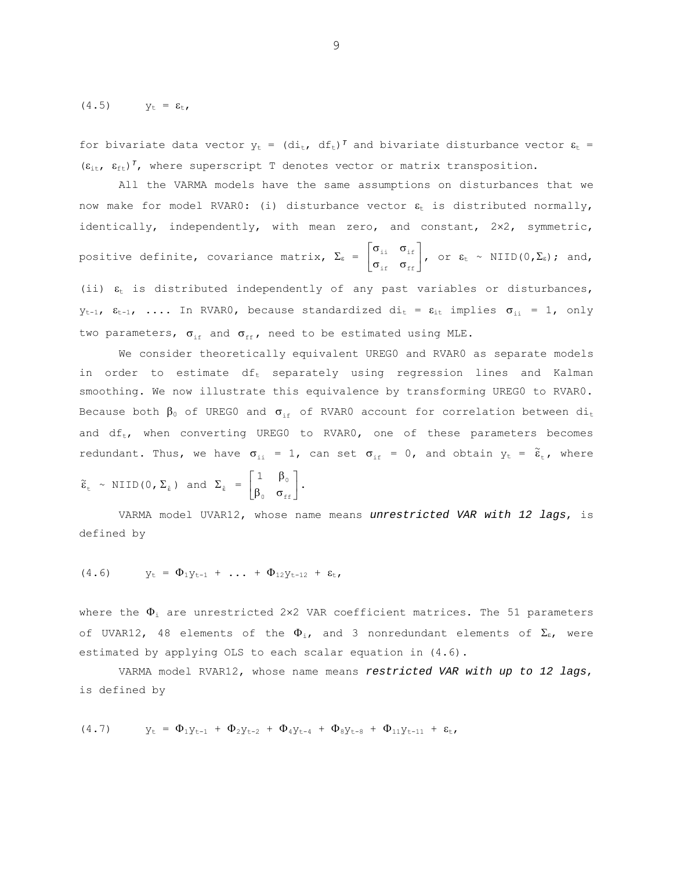(4.5)  $y_t = \varepsilon_t$ ,

for bivariate data vector  $y_t = (di_t, df_t)^T$  and bivariate disturbance vector  $\varepsilon_t$  =  $(\varepsilon_{i,t}, \varepsilon_{f,t})^T$ , where superscript T denotes vector or matrix transposition.

All the VARMA models have the same assumptions on disturbances that we now make for model RVAR0: (i) disturbance vector  $\varepsilon_t$  is distributed normally, identically, independently, with mean zero, and constant, 2x2, symmetric, positive definite, covariance matrix,  $\Sigma_{\epsilon}$  =  $\begin{bmatrix} \sigma_{\text{ii}} & \sigma_{\text{if}} \\ \sigma_{\text{if}} & \sigma_{\text{ff}} \end{bmatrix}$ È  $\sigma_{\text{eff}}$   $\sigma$  $\sigma_{\scriptscriptstyle{\pm\pm}}$   $\sigma$  $\frac{1}{1} \frac{\sigma_{\text{if}}}{\sigma_{\text{ff}}}$ , or  $\varepsilon_{\text{t}} \sim \text{NIID}(0, \Sigma_{\varepsilon})$ ; and, (ii)  $\varepsilon_t$  is distributed independently of any past variables or disturbances,  $y_{t-1}$ ,  $\varepsilon_{t-1}$ , .... In RVARO, because standardized di<sub>t</sub> =  $\varepsilon_{it}$  implies  $\sigma_{ii}$  = 1, only two parameters,  $\sigma_{if}$  and  $\sigma_{ff}$ , need to be estimated using MLE.

We consider theoretically equivalent UREG0 and RVAR0 as separate models in order to estimate  $df_t$  separately using regression lines and Kalman smoothing. We now illustrate this equivalence by transforming UREG0 to RVAR0. Because both  $\beta_0$  of UREGO and  $\sigma_{if}$  of RVARO account for correlation between di<sub>t</sub> and  $df_t$ , when converting UREG0 to RVAR0, one of these parameters becomes redundant. Thus, we have  $\sigma_{ii} = 1$ , can set  $\sigma_{if} = 0$ , and obtain  $y_t = \tilde{\varepsilon}_t$ , where

$$
\tilde{\varepsilon}_{t} \sim \text{NIID}(0, \Sigma_{\hat{\varepsilon}}) \text{ and } \Sigma_{\hat{\varepsilon}} = \begin{bmatrix} 1 & \beta_{0} \\ \beta_{0} & \sigma_{\text{ff}} \end{bmatrix}.
$$

VARMA model UVAR12, whose name means *unrestricted VAR with 12 lags*, is defined by

(4.6) 
$$
y_t = \Phi_1 y_{t-1} + \dots + \Phi_{12} y_{t-12} + \varepsilon_t
$$

where the  $\Phi_i$  are unrestricted 2×2 VAR coefficient matrices. The 51 parameters of UVAR12, 48 elements of the  $\Phi_i$ , and 3 nonredundant elements of  $\Sigma_{\varepsilon}$ , were estimated by applying OLS to each scalar equation in (4.6).

VARMA model RVAR12, whose name means *restricted VAR with up to 12 lags*, is defined by

$$
(4.7) \t yt = \Phi_{1}yt-1 + \Phi_{2}yt-2 + \Phi_{4}yt-4 + \Phi_{8}yt-8 + \Phi_{11}yt-11 + \varepsilont,
$$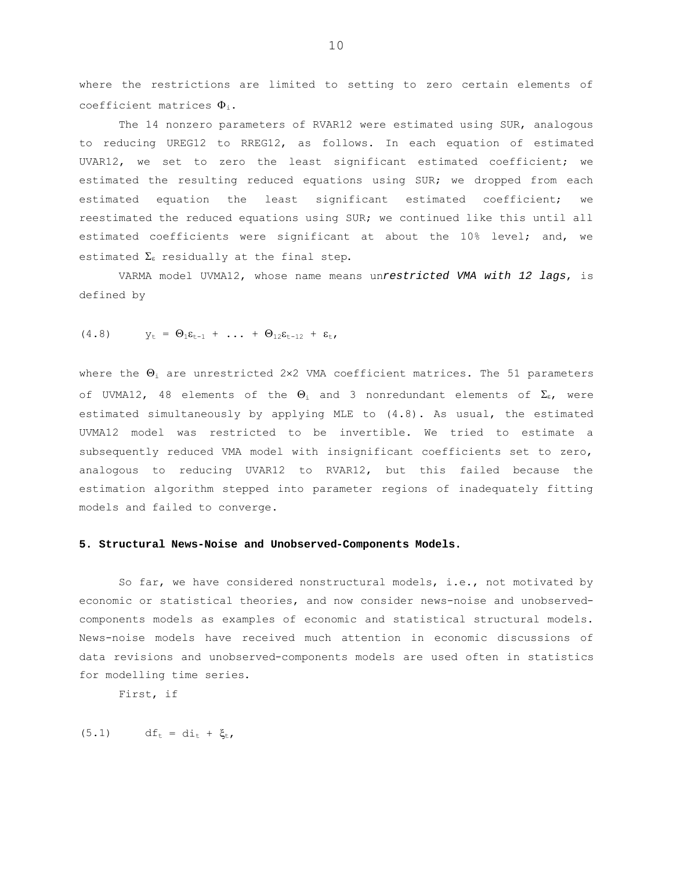where the restrictions are limited to setting to zero certain elements of coefficient matrices  $\Phi_i$ .

The 14 nonzero parameters of RVAR12 were estimated using SUR, analogous to reducing UREG12 to RREG12, as follows. In each equation of estimated UVAR12, we set to zero the least significant estimated coefficient; we estimated the resulting reduced equations using SUR; we dropped from each estimated equation the least significant estimated coefficient; we reestimated the reduced equations using SUR; we continued like this until all estimated coefficients were significant at about the 10% level; and, we estimated  $\Sigma_{\epsilon}$  residually at the final step.

VARMA model UVMA12, whose name means un*restricted VMA with 12 lags*, is defined by

$$
(4.8) \t yt = \Theta1 \varepsilont-1 + ... + \Theta12 \varepsilont-12 + \varepsilont,
$$

where the  $\Theta_i$  are unrestricted 2×2 VMA coefficient matrices. The 51 parameters of UVMA12, 48 elements of the  $\Theta_i$  and 3 nonredundant elements of  $\Sigma_{\epsilon}$ , were estimated simultaneously by applying MLE to (4.8). As usual, the estimated UVMA12 model was restricted to be invertible. We tried to estimate a subsequently reduced VMA model with insignificant coefficients set to zero, analogous to reducing UVAR12 to RVAR12, but this failed because the estimation algorithm stepped into parameter regions of inadequately fitting models and failed to converge.

### **5. Structural News-Noise and Unobserved-Components Models.**

So far, we have considered nonstructural models, i.e., not motivated by economic or statistical theories, and now consider news-noise and unobservedcomponents models as examples of economic and statistical structural models. News-noise models have received much attention in economic discussions of data revisions and unobserved-components models are used often in statistics for modelling time series.

First, if

 $(5.1)$  df<sub>t</sub> = di<sub>t</sub> +  $\xi_t$ ,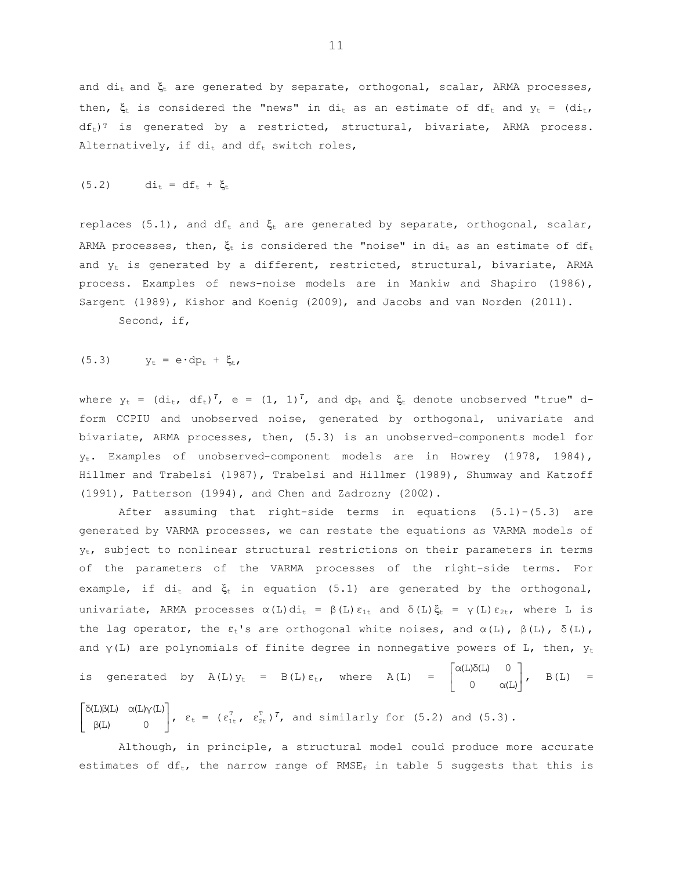and  $di_t$  and  $\xi_t$  are generated by separate, orthogonal, scalar, ARMA processes, then,  $\xi_t$  is considered the "news" in di<sub>t</sub> as an estimate of df<sub>t</sub> and  $y_t = (di_t, j_t)$  $df_t$ <sup>T</sup> is generated by a restricted, structural, bivariate, ARMA process. Alternatively, if  $di_t$  and  $df_t$  switch roles,

$$
(5.2) \qquad \qquad \mathrm{di}_{\mathrm{t}} = \mathrm{d} \mathrm{f}_{\mathrm{t}} + \xi_{\mathrm{t}}
$$

replaces (5.1), and df<sub>t</sub> and  $\xi_t$  are generated by separate, orthogonal, scalar, ARMA processes, then,  $\xi_t$  is considered the "noise" in di<sub>t</sub> as an estimate of df<sub>t</sub> and  $y_t$  is generated by a different, restricted, structural, bivariate, ARMA process. Examples of news-noise models are in Mankiw and Shapiro (1986), Sargent (1989), Kishor and Koenig (2009), and Jacobs and van Norden (2011).

Second, if,

$$
(5.3) \t yt = e \cdot dpt + \xit,
$$

where  $y_t = (di_t, df_t)^T$ , e =  $(1, 1)^T$ , and dp<sub>t</sub> and  $\xi_t$  denote unobserved "true" dform CCPIU and unobserved noise, generated by orthogonal, univariate and bivariate, ARMA processes, then, (5.3) is an unobserved-components model for yt. Examples of unobserved-component models are in Howrey (1978, 1984), Hillmer and Trabelsi (1987), Trabelsi and Hillmer (1989), Shumway and Katzoff (1991), Patterson (1994), and Chen and Zadrozny (2002).

After assuming that right-side terms in equations (5.1)-(5.3) are generated by VARMA processes, we can restate the equations as VARMA models of  $y_t$ , subject to nonlinear structural restrictions on their parameters in terms of the parameters of the VARMA processes of the right-side terms. For example, if  $di_t$  and  $\xi_t$  in equation (5.1) are generated by the orthogonal, univariate, ARMA processes  $\alpha(L)$ di<sub>t</sub> =  $\beta(L)$   $\varepsilon_{1t}$  and  $\delta(L)$  $\xi_t$  =  $\gamma(L)$   $\varepsilon_{2t}$ , where L is the lag operator, the  $ε_t$ 's are orthogonal white noises, and  $α(L)$ ,  $β(L)$ ,  $δ(L)$ , and  $\gamma(L)$  are polynomials of finite degree in nonnegative powers of L, then,  $y_t$ is generated by  $A(L) y_t = B(L) \varepsilon_t$ , where  $A(L) = \begin{bmatrix} \alpha(L) \delta(L) & 0 \\ 0 & \alpha(L) \end{bmatrix}$ È  $\alpha(L)\delta(L)$  0<br>B(L) =

 $\left[ \begin{array}{cc} \delta(L)\beta(L) & \alpha(L)\gamma(L) \\ \beta(L) & 0 \end{array} \right]$  $β(L)$  0  $\delta$ (L)β(L)  $\alpha$ (L)γ(L)<br> $\begin{vmatrix} \delta(t) & \alpha(t) \gamma(t) \\ 0 & 0 \end{vmatrix}$ ,  $\epsilon_t = (\epsilon_{1t}^T, \epsilon_{2t}^T)^T$ , and similarly for (5.2) and (5.3).

Although, in principle, a structural model could produce more accurate estimates of df<sub>t</sub>, the narrow range of RMSE<sub>f</sub> in table 5 suggests that this is

0  $\alpha(L)$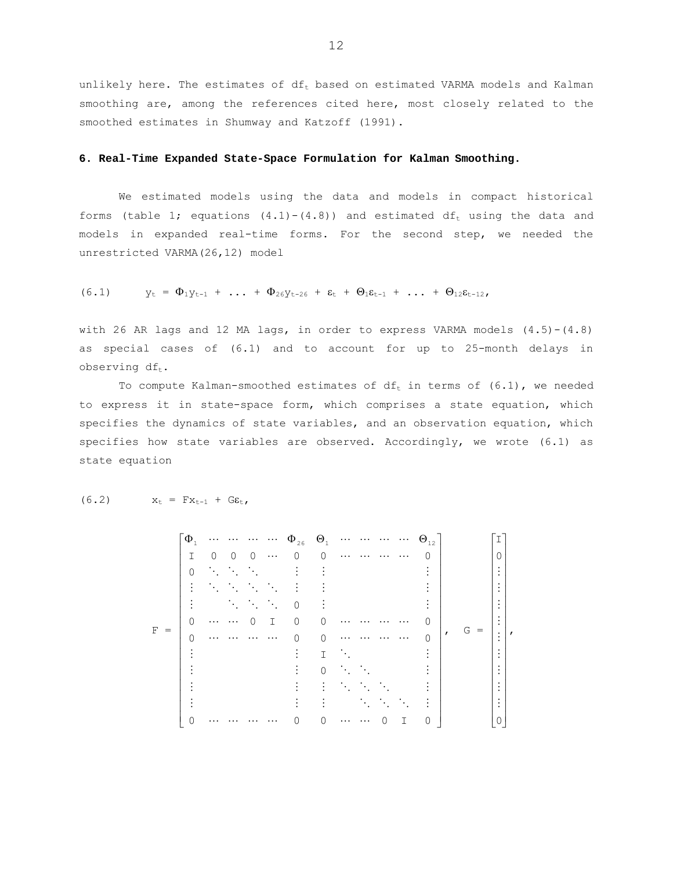unlikely here. The estimates of  $df_t$  based on estimated VARMA models and Kalman smoothing are, among the references cited here, most closely related to the smoothed estimates in Shumway and Katzoff (1991).

#### **6. Real-Time Expanded State-Space Formulation for Kalman Smoothing.**

We estimated models using the data and models in compact historical forms (table 1; equations  $(4.1)-(4.8)$ ) and estimated df<sub>t</sub> using the data and models in expanded real-time forms. For the second step, we needed the unrestricted VARMA(26,12) model

(6.1) 
$$
y_t = \Phi_1 y_{t-1} + \ldots + \Phi_{26} y_{t-26} + \varepsilon_t + \Theta_1 \varepsilon_{t-1} + \ldots + \Theta_{12} \varepsilon_{t-12},
$$

with 26 AR lags and 12 MA lags, in order to express VARMA models  $(4.5)-(4.8)$ as special cases of (6.1) and to account for up to 25-month delays in observing  $df_t$ .

To compute Kalman-smoothed estimates of  $df_t$  in terms of  $(6.1)$ , we needed to express it in state-space form, which comprises a state equation, which specifies the dynamics of state variables, and an observation equation, which specifies how state variables are observed. Accordingly, we wrote (6.1) as state equation

 F = ˙ ˙ ˙ ˙ ˙ ˙ ˙ ˙ ˙ ˙ ˙ ˙ ˙ ˙ ˙ ˙ ˙ ˚ ˘ Í Î ÈF QF Q 0 00 0I0 0 I 0 00 0 0 00I0 0 0 0 00000I 0 1 126 12 , G = ˙ ˙ ˙ ˙ ˙ ˙ ˙ ˙ ˙ ˙ ˙ ˙ ˙ ˙ ˙ ˙ ˙ ˚ Î 0 ˘ Í Í Í Í Í Í Í Í Í Í Í Í Í Í Í Í Í È 0 I ,

$$
(6.2) \t xt = Fxt-1 + G\epsilont,
$$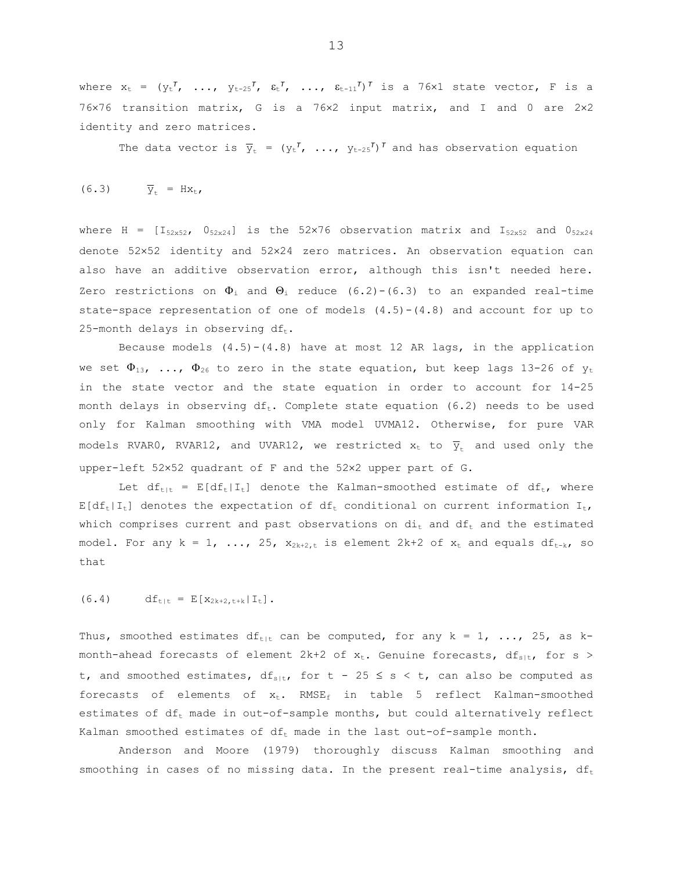where  $x_t = (y_t^T, \ldots, y_{t-25}^T, \varepsilon_t^T, \ldots, \varepsilon_{t-11}^T)^T$  is a 76×1 state vector, F is a 76¥76 transition matrix, G is a 76¥2 input matrix, and I and 0 are 2¥2 identity and zero matrices.

The data vector is  $\overline{y}_t = (y_t^T, ..., y_{t-25}^T)^T$  and has observation equation

$$
(6.3) \qquad \overline{Y}_{t} = Hx_{t},
$$

where H =  $[I_{52x52}$ ,  $0_{52x24}]$  is the 52×76 observation matrix and  $I_{52x52}$  and  $0_{52x24}$ denote 52¥52 identity and 52¥24 zero matrices. An observation equation can also have an additive observation error, although this isn't needed here. Zero restrictions on  $\Phi_i$  and  $\Theta_i$  reduce (6.2)-(6.3) to an expanded real-time state-space representation of one of models  $(4.5)-(4.8)$  and account for up to 25-month delays in observing  $df_t$ .

Because models  $(4.5)-(4.8)$  have at most 12 AR lags, in the application we set  $\Phi_{13}$ , ...,  $\Phi_{26}$  to zero in the state equation, but keep lags 13-26 of  $y_t$ in the state vector and the state equation in order to account for 14-25 month delays in observing  $df_t$ . Complete state equation (6.2) needs to be used only for Kalman smoothing with VMA model UVMA12. Otherwise, for pure VAR models RVAR0, RVAR12, and UVAR12, we restricted  $x_t$  to  $\overline{y}_t$  and used only the upper-left 52×52 quadrant of F and the 52×2 upper part of G.

Let  $df_{t} = E[df_t | I_t]$  denote the Kalman-smoothed estimate of  $df_t$ , where  $E[df_t|I_t]$  denotes the expectation of  $df_t$  conditional on current information  $I_t$ , which comprises current and past observations on  $di_t$  and  $df_t$  and the estimated model. For any  $k = 1$ , ..., 25,  $x_{2k+2,t}$  is element 2k+2 of  $x_t$  and equals  $df_{t-k}$ , so that

### (6.4)  $df_{t|t} = E[X_{2k+2,t+k} | I_t].$

Thus, smoothed estimates  $df_{\text{tlt}}$  can be computed, for any k = 1, ..., 25, as kmonth-ahead forecasts of element 2k+2 of  $x_t$ . Genuine forecasts,  $df_{s|t}$ , for s > t, and smoothed estimates,  $df_{s|t}$ , for t - 25  $\leq$  s  $\lt$  t, can also be computed as forecasts of elements of  $x_t$ . RMSE<sub>f</sub> in table 5 reflect Kalman-smoothed estimates of  $df_t$  made in out-of-sample months, but could alternatively reflect Kalman smoothed estimates of  $df_t$  made in the last out-of-sample month.

 Anderson and Moore (1979) thoroughly discuss Kalman smoothing and smoothing in cases of no missing data. In the present real-time analysis,  $df_t$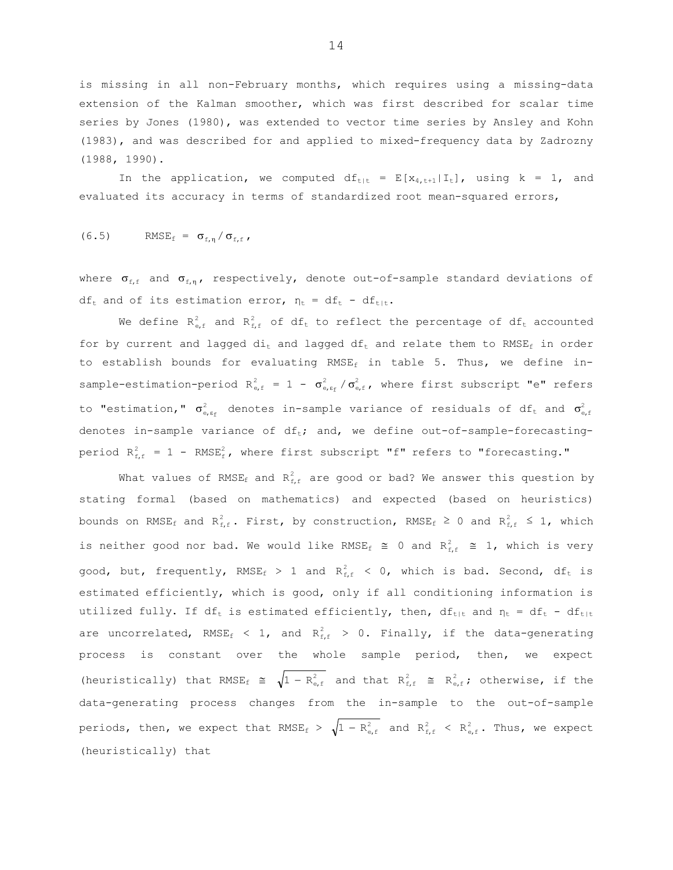is missing in all non-February months, which requires using a missing-data extension of the Kalman smoother, which was first described for scalar time series by Jones (1980), was extended to vector time series by Ansley and Kohn (1983), and was described for and applied to mixed-frequency data by Zadrozny (1988, 1990).

In the application, we computed  $df_{t|t} = E[X_{4,t+1}|I_t]$ , using  $k = 1$ , and evaluated its accuracy in terms of standardized root mean-squared errors,

$$
(6.5) \qquad \text{RMSE}_{f} = \sigma_{f,\eta} / \sigma_{f,f},
$$

where  $\sigma_{f,f}$  and  $\sigma_{f,n}$ , respectively, denote out-of-sample standard deviations of  $df_t$  and of its estimation error,  $\eta_t = df_t - df_{t|t}$ .

We define  $R_{e,f}^2$  and  $R_{f,f}^2$  of df<sub>t</sub> to reflect the percentage of df<sub>t</sub> accounted for by current and lagged  $di_t$  and lagged  $df_t$  and relate them to RMSE<sub>f</sub> in order to establish bounds for evaluating RMSE<sub>f</sub> in table 5. Thus, we define insample-estimation-period  $R_{e,f}^2 = 1 - \sigma_{e,f,f}^2 / \sigma_{e,f,f}^2$  where first subscript "e" refers to "estimation,"  $\sigma_{\text{\tiny e},\text{\tiny g}}^2$  denotes in-sample variance of residuals of  $\mathrm{df}_{\text{\tiny t}}$  and  $\sigma_{\text{\tiny e},\text{\tiny f}}^2$ denotes in-sample variance of  $df_t$ ; and, we define out-of-sample-forecastingperiod  $R_{f,f}^2 = 1$  - RMSE<sub>f</sub>, where first subscript "f" refers to "forecasting."

What values of RMSE<sub>f</sub> and  $R_{f,f}^2$  are good or bad? We answer this question by stating formal (based on mathematics) and expected (based on heuristics) bounds on RMSE<sub>f</sub> and R<sup>2</sup><sub>f,f</sub>. First, by construction, RMSE<sub>f</sub>  $\geq$  0 and R<sup>2</sup><sub>f,f</sub>  $\leq$  1, which is neither good nor bad. We would like RMSE<sub>f</sub>  $\cong$  0 and R<sub>f,f</sub>  $\cong$  1, which is very good, but, frequently,  $RMSE_f$  > 1 and  $R_{f,f}^2$  < 0, which is bad. Second, df<sub>t</sub> is estimated efficiently, which is good, only if all conditioning information is utilized fully. If df<sub>t</sub> is estimated efficiently, then, df<sub>t|t</sub> and  $\eta_t = df_t - df_{t|t}$ are uncorrelated, RMSE<sub>f</sub> < 1, and R<sup>2</sup><sub>f,f</sub> > 0. Finally, if the data-generating process is constant over the whole sample period, then, we expect (heuristically) that RMSE<sub>f</sub>  $\cong \sqrt{1 - R_{\text{e,f}}^2}$  and that  $R_{\text{f,f}}^2 \cong R_{\text{e,f}}^2$ ; otherwise, if the data-generating process changes from the in-sample to the out-of-sample periods, then, we expect that  $RMSE_f > \sqrt{1 - R_{e,f}^2}$  and  $R_{f,f}^2 < R_{e,f}^2$ . Thus, we expect (heuristically) that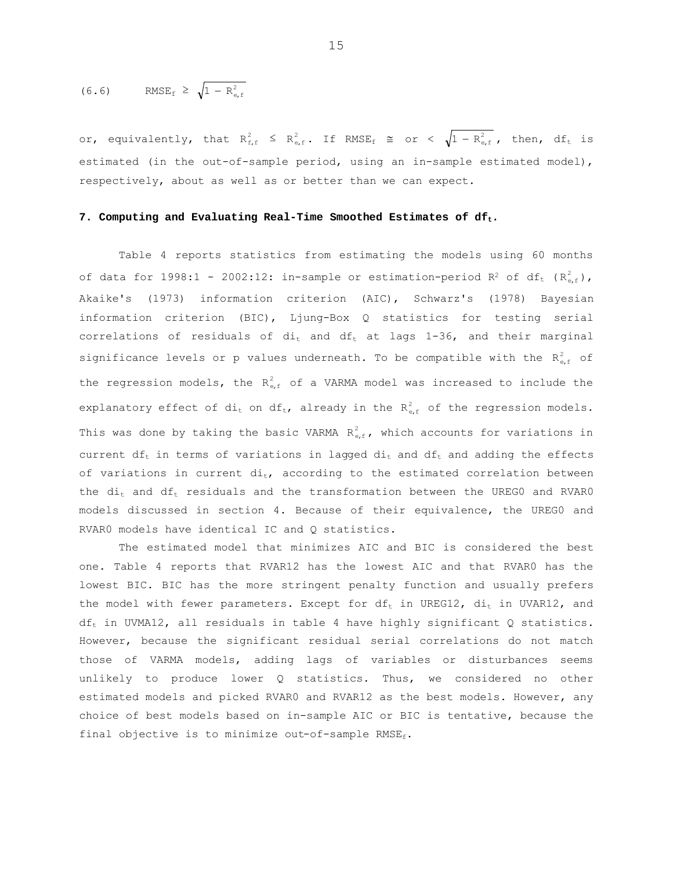$$
(6.6) \qquad \text{RMSE}_{\text{f}} \geq \sqrt{1 - R_{\text{e,f}}^2}
$$

or, equivalently, that  $R_{f,f}^2 \leq R_{e,f}^2$ . If  $RMSE_f \cong \text{or } \langle \sqrt{1-R_{e,f}^2}$ , then,  $df_t$  is estimated (in the out-of-sample period, using an in-sample estimated model), respectively, about as well as or better than we can expect.

#### **7. Computing and Evaluating Real-Time Smoothed Estimates of dft.**

Table 4 reports statistics from estimating the models using 60 months of data for 1998:1 - 2002:12: in-sample or estimation-period R<sup>2</sup> of df<sub>t</sub> ( $R_{e,f}^2$ ), Akaike's (1973) information criterion (AIC), Schwarz's (1978) Bayesian information criterion (BIC), Ljung-Box Q statistics for testing serial correlations of residuals of  $di_t$  and  $df_t$  at lags 1-36, and their marginal significance levels or p values underneath. To be compatible with the  $R_{eff}^2$  of the regression models, the  $R_{eff}^2$  of a VARMA model was increased to include the explanatory effect of dit on dft, already in the  $R_{\text{eff}}^2$  of the regression models. This was done by taking the basic VARMA  $R_{\text{eff}}^2$ , which accounts for variations in current  $df_t$  in terms of variations in lagged  $di_t$  and  $df_t$  and adding the effects of variations in current  $di_t$ , according to the estimated correlation between the  $di_t$  and  $df_t$  residuals and the transformation between the UREG0 and RVAR0 models discussed in section 4. Because of their equivalence, the UREG0 and RVAR0 models have identical IC and Q statistics.

The estimated model that minimizes AIC and BIC is considered the best one. Table 4 reports that RVAR12 has the lowest AIC and that RVAR0 has the lowest BIC. BIC has the more stringent penalty function and usually prefers the model with fewer parameters. Except for  $df_t$  in UREG12,  $di_t$  in UVAR12, and  $df_t$  in UVMA12, all residuals in table 4 have highly significant Q statistics. However, because the significant residual serial correlations do not match those of VARMA models, adding lags of variables or disturbances seems unlikely to produce lower Q statistics. Thus, we considered no other estimated models and picked RVAR0 and RVAR12 as the best models. However, any choice of best models based on in-sample AIC or BIC is tentative, because the final objective is to minimize out-of-sample  $RMSE_f$ .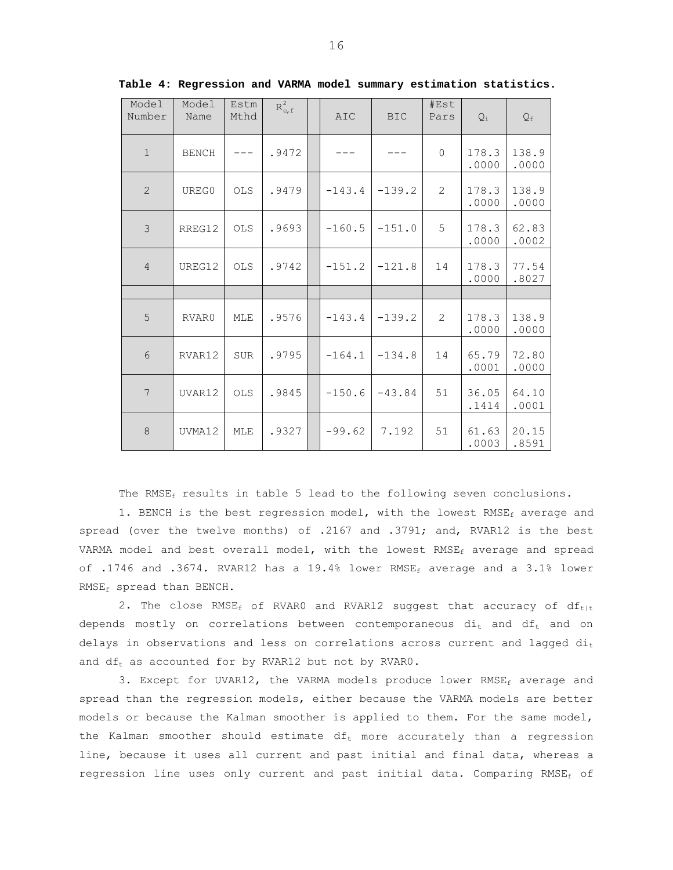| Model<br>Number | Model<br>Name | Estm<br>Mthd   | $R_{e,f}^2$ | <b>AIC</b> | <b>BIC</b> | #Est<br>Pars   | $Q_i$          | $\mathsf{Q}_{\texttt{f}}$ |
|-----------------|---------------|----------------|-------------|------------|------------|----------------|----------------|---------------------------|
| $\mathbf{1}$    | <b>BENCH</b>  |                | .9472       |            |            | $\overline{0}$ | 178.3<br>.0000 | 138.9<br>.0000            |
| 2               | UREG0         | <b>OLS</b>     | .9479       | $-143.4$   | $-139.2$   | 2              | 178.3<br>.0000 | 138.9<br>.0000            |
| 3               | RREG12        | $\mathtt{OLS}$ | .9693       | $-160.5$   | $-151.0$   | 5              | 178.3<br>.0000 | 62.83<br>.0002            |
| $\overline{4}$  | UREG12        | OLS            | .9742       | $-151.2$   | $-121.8$   | 14             | 178.3<br>.0000 | 77.54<br>.8027            |
|                 |               |                |             |            |            |                |                |                           |
| 5               | RVAR0         | MLE            | .9576       | $-143.4$   | $-139.2$   | 2              | 178.3<br>.0000 | 138.9<br>.0000            |
| 6               | RVAR12        | <b>SUR</b>     | .9795       | $-164.1$   | $-134.8$   | 14             | 65.79<br>.0001 | 72.80<br>.0000            |
| 7               | UVAR12        | <b>OLS</b>     | .9845       | $-150.6$   | $-43.84$   | 51             | 36.05<br>.1414 | 64.10<br>.0001            |
| 8               | UVMA12        | MLE            | .9327       | $-99.62$   | 7.192      | 51             | 61.63<br>.0003 | 20.15<br>.8591            |

**Table 4: Regression and VARMA model summary estimation statistics.** 

The RMS $E_f$  results in table 5 lead to the following seven conclusions.

1. BENCH is the best regression model, with the lowest  $RMSE_f$  average and spread (over the twelve months) of .2167 and .3791; and, RVAR12 is the best VARMA model and best overall model, with the lowest  $RMSE_f$  average and spread of .1746 and .3674. RVAR12 has a 19.4% lower RMSE<sub>f</sub> average and a 3.1% lower RMSE<sub>f</sub> spread than BENCH.

2. The close  $RMSE_f$  of RVAR0 and RVAR12 suggest that accuracy of  $df_{t+t}$ depends mostly on correlations between contemporaneous  $di_t$  and  $df_t$  and on delays in observations and less on correlations across current and lagged  $di_t$ and  $df_t$  as accounted for by RVAR12 but not by RVAR0.

3. Except for UVAR12, the VARMA models produce lower RMSE $_f$  average and spread than the regression models, either because the VARMA models are better models or because the Kalman smoother is applied to them. For the same model, the Kalman smoother should estimate  $df_t$  more accurately than a regression line, because it uses all current and past initial and final data, whereas a regression line uses only current and past initial data. Comparing RMSE<sub>f</sub> of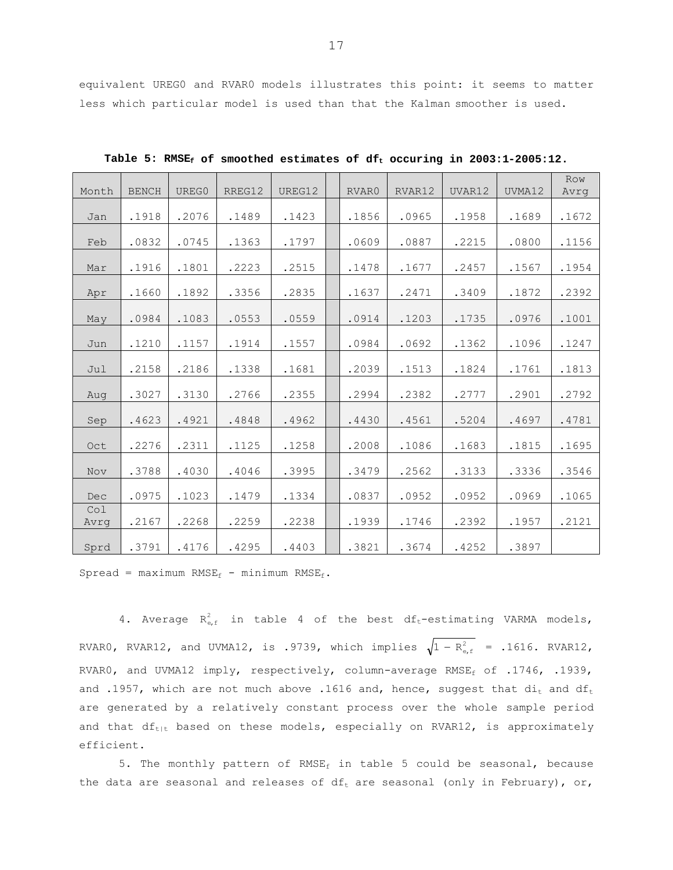equivalent UREG0 and RVAR0 models illustrates this point: it seems to matter less which particular model is used than that the Kalman smoother is used.

| Month       | <b>BENCH</b> | UREG0 | RREG12 | UREG12 | RVAR0 | RVAR12 | UVAR12 | UVMA12 | Row<br>Avrq |
|-------------|--------------|-------|--------|--------|-------|--------|--------|--------|-------------|
| Jan         | .1918        | .2076 | .1489  | .1423  | .1856 | .0965  | .1958  | .1689  | .1672       |
| Feb         | .0832        | .0745 | .1363  | .1797  | .0609 | .0887  | .2215  | .0800  | .1156       |
| Mar         | .1916        | .1801 | .2223  | .2515  | .1478 | .1677  | .2457  | .1567  | .1954       |
| Apr         | .1660        | .1892 | .3356  | .2835  | .1637 | .2471  | .3409  | .1872  | .2392       |
| May         | .0984        | .1083 | .0553  | .0559  | .0914 | .1203  | .1735  | .0976  | .1001       |
| Jun         | .1210        | .1157 | .1914  | .1557  | .0984 | .0692  | .1362  | .1096  | .1247       |
| Jul         | .2158        | .2186 | .1338  | .1681  | .2039 | .1513  | .1824  | .1761  | .1813       |
| Aug         | .3027        | .3130 | .2766  | .2355  | .2994 | .2382  | .2777  | .2901  | .2792       |
| Sep         | .4623        | .4921 | .4848  | .4962  | .4430 | .4561  | .5204  | .4697  | .4781       |
| Oct         | .2276        | .2311 | .1125  | .1258  | .2008 | .1086  | .1683  | .1815  | .1695       |
| Nov         | .3788        | .4030 | .4046  | .3995  | .3479 | .2562  | .3133  | .3336  | .3546       |
| Dec         | .0975        | .1023 | .1479  | .1334  | .0837 | .0952  | .0952  | .0969  | .1065       |
| Co1<br>Avrq | .2167        | .2268 | .2259  | .2238  | .1939 | .1746  | .2392  | .1957  | .2121       |
| Sprd        | .3791        | .4176 | .4295  | .4403  | .3821 | .3674  | .4252  | .3897  |             |

Table 5: RMSE<sub>f</sub> of smoothed estimates of df<sub>t</sub> occuring in 2003:1-2005:12.

Spread = maximum RMSE<sub>f</sub> - minimum RMSE<sub>f</sub>.

4. Average  $R_{e,f}^2$  in table 4 of the best df<sub>t</sub>-estimating VARMA models, RVAR0, RVAR12, and UVMA12, is .9739, which implies  $\sqrt{1 - R_{e,f}^2}$  = .1616. RVAR12, RVAR0, and UVMA12 imply, respectively, column-average RMSE<sub>f</sub> of .1746, .1939, and .1957, which are not much above .1616 and, hence, suggest that  $di_t$  and  $df_t$ are generated by a relatively constant process over the whole sample period and that  $df_{t|t}$  based on these models, especially on RVAR12, is approximately efficient.

5. The monthly pattern of RMSE<sub>f</sub> in table 5 could be seasonal, because the data are seasonal and releases of  $df_t$  are seasonal (only in February), or,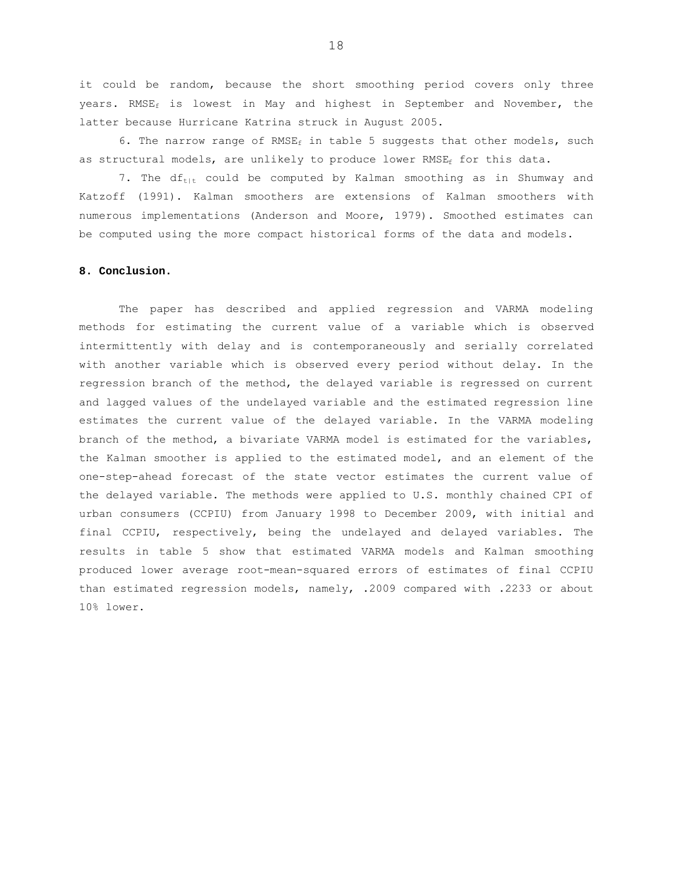it could be random, because the short smoothing period covers only three years. RMSE<sub>f</sub> is lowest in May and highest in September and November, the latter because Hurricane Katrina struck in August 2005.

6. The narrow range of RMSE<sub>f</sub> in table 5 suggests that other models, such as structural models, are unlikely to produce lower RMSE<sub>f</sub> for this data.

7. The  $df_{\text{tilt}}$  could be computed by Kalman smoothing as in Shumway and Katzoff (1991). Kalman smoothers are extensions of Kalman smoothers with numerous implementations (Anderson and Moore, 1979). Smoothed estimates can be computed using the more compact historical forms of the data and models.

## **8. Conclusion.**

 The paper has described and applied regression and VARMA modeling methods for estimating the current value of a variable which is observed intermittently with delay and is contemporaneously and serially correlated with another variable which is observed every period without delay. In the regression branch of the method, the delayed variable is regressed on current and lagged values of the undelayed variable and the estimated regression line estimates the current value of the delayed variable. In the VARMA modeling branch of the method, a bivariate VARMA model is estimated for the variables, the Kalman smoother is applied to the estimated model, and an element of the one-step-ahead forecast of the state vector estimates the current value of the delayed variable. The methods were applied to U.S. monthly chained CPI of urban consumers (CCPIU) from January 1998 to December 2009, with initial and final CCPIU, respectively, being the undelayed and delayed variables. The results in table 5 show that estimated VARMA models and Kalman smoothing produced lower average root-mean-squared errors of estimates of final CCPIU than estimated regression models, namely, .2009 compared with .2233 or about 10% lower.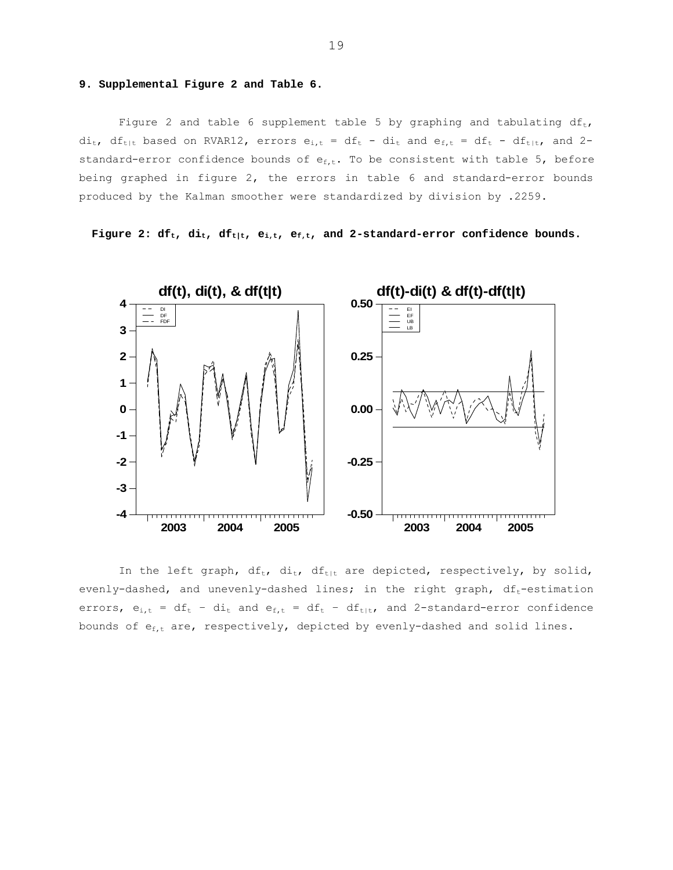# **9. Supplemental Figure 2 and Table 6.**

Figure 2 and table 6 supplement table 5 by graphing and tabulating  $df_t$ ,  $di_t$ , df<sub>t|t</sub> based on RVAR12, errors  $e_{i,t} = df_t - di_t$  and  $e_{f,t} = df_t - df_{t|t}$ , and 2standard-error confidence bounds of  $e_{f,t}$ . To be consistent with table 5, before being graphed in figure 2, the errors in table 6 and standard-error bounds produced by the Kalman smoother were standardized by division by .2259.

**Figure 2: df<sub>t</sub>, di<sub>t</sub>, df<sub>t|t</sub>, e<sub>i,t</sub>, e<sub>f,t</sub>, and 2-standard-error confidence bounds.** 



In the left graph,  $df_t$ ,  $di_t$ ,  $df_{t|t}$  are depicted, respectively, by solid, evenly-dashed, and unevenly-dashed lines; in the right graph,  $df_t$ -estimation errors,  $e_{i,t} = df_t - di_t$  and  $e_{f,t} = df_t - df_{t|t}$ , and 2-standard-error confidence bounds of  $e_{f,t}$  are, respectively, depicted by evenly-dashed and solid lines.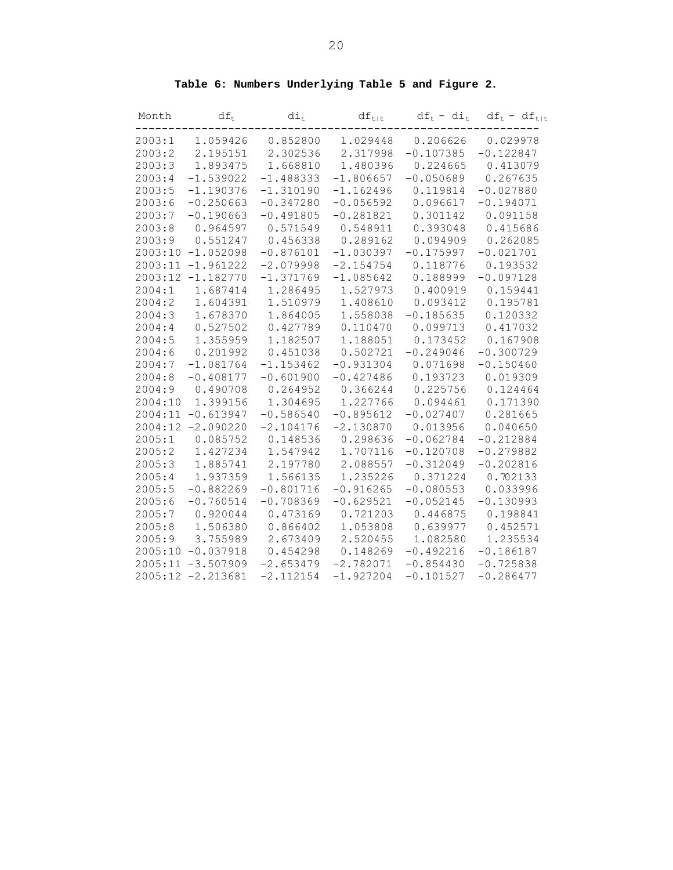| Month   | $df_t$               | $\mathrm{di}_\mathrm{t}$ | $df_{t t}$  | $df_t - di_t$ | $df_t - df_{t t}$ |
|---------|----------------------|--------------------------|-------------|---------------|-------------------|
| 2003:1  | 1.059426             | 0.852800                 | 1.029448    | 0.206626      | 0.029978          |
| 2003:2  | 2.195151             | 2.302536                 | 2.317998    | $-0.107385$   | $-0.122847$       |
| 2003:3  | 1.893475             | 1.668810                 | 1.480396    | 0.224665      | 0.413079          |
| 2003:4  | $-1.539022$          | $-1.488333$              | $-1.806657$ | $-0.050689$   | 0.267635          |
| 2003:5  | $-1.190376$          | $-1.310190$              | $-1.162496$ | 0.119814      | $-0.027880$       |
| 2003:6  | $-0.250663$          | $-0.347280$              | $-0.056592$ | 0.096617      | $-0.194071$       |
| 2003:7  | $-0.190663$          | $-0.491805$              | $-0.281821$ | 0.301142      | 0.091158          |
| 2003:8  | 0.964597             | 0.571549                 | 0.548911    | 0.393048      | 0.415686          |
| 2003:9  | 0.551247             | 0.456338                 | 0.289162    | 0.094909      | 0.262085          |
|         | $2003:10 -1.052098$  | $-0.876101$              | $-1.030397$ | $-0.175997$   | $-0.021701$       |
|         | 2003:11 -1.961222    | $-2.079998$              | $-2.154754$ | 0.118776      | 0.193532          |
|         | 2003:12 -1.182770    | $-1.371769$              | $-1.085642$ | 0.188999      | $-0.097128$       |
| 2004:1  | 1.687414             | 1.286495                 | 1.527973    | 0.400919      | 0.159441          |
| 2004:2  | 1.604391             | 1.510979                 | 1.408610    | 0.093412      | 0.195781          |
| 2004:3  | 1.678370             | 1.864005                 | 1.558038    | $-0.185635$   | 0.120332          |
| 2004:4  | 0.527502             | 0.427789                 | 0.110470    | 0.099713      | 0.417032          |
| 2004:5  | 1.355959             | 1.182507                 | 1.188051    | 0.173452      | 0.167908          |
| 2004:6  | 0.201992             | 0.451038                 | 0.502721    | $-0.249046$   | $-0.300729$       |
| 2004:7  | $-1.081764$          | $-1.153462$              | $-0.931304$ | 0.071698      | $-0.150460$       |
| 2004:8  | $-0.408177$          | $-0.601900$              | $-0.427486$ | 0.193723      | 0.019309          |
| 2004:9  | 0.490708             | 0.264952                 | 0.366244    | 0.225756      | 0.124464          |
| 2004:10 | 1.399156             | 1.304695                 | 1.227766    | 0.094461      | 0.171390          |
|         | $2004:11 - 0.613947$ | $-0.586540$              | $-0.895612$ | $-0.027407$   | 0.281665          |
|         | 2004:12 -2.090220    | $-2.104176$              | $-2.130870$ | 0.013956      | 0.040650          |
| 2005:1  | 0.085752             | 0.148536                 | 0.298636    | $-0.062784$   | $-0.212884$       |
| 2005:2  | 1.427234             | 1.547942                 | 1.707116    | $-0.120708$   | $-0.279882$       |
| 2005:3  | 1.885741             | 2.197780                 | 2.088557    | $-0.312049$   | $-0.202816$       |
| 2005:4  | 1.937359             | 1.566135                 | 1.235226    | 0.371224      | 0.702133          |
| 2005:5  | $-0.882269$          | $-0.801716$              | $-0.916265$ | $-0.080553$   | 0.033996          |
| 2005:6  | $-0.760514$          | $-0.708369$              | $-0.629521$ | $-0.052145$   | $-0.130993$       |
| 2005:7  | 0.920044             | 0.473169                 | 0.721203    | 0.446875      | 0.198841          |
| 2005:8  | 1.506380             | 0.866402                 | 1.053808    | 0.639977      | 0.452571          |
| 2005:9  | 3.755989             | 2.673409                 | 2.520455    | 1.082580      | 1.235534          |
|         | 2005:10 -0.037918    | 0.454298                 | 0.148269    | $-0.492216$   | $-0.186187$       |
|         | $2005:11 - 3.507909$ | $-2.653479$              | $-2.782071$ | $-0.854430$   | $-0.725838$       |
|         | 2005:12 -2.213681    | $-2.112154$              | $-1.927204$ | $-0.101527$   | $-0.286477$       |

**Table 6: Numbers Underlying Table 5 and Figure 2.**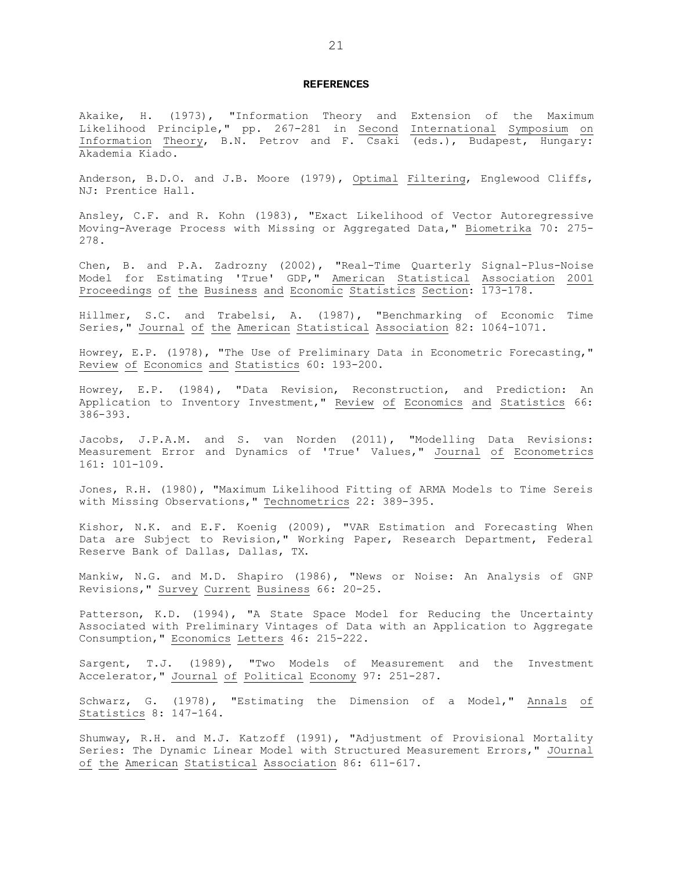#### **REFERENCES**

Akaike, H. (1973), "Information Theory and Extension of the Maximum Likelihood Principle," pp. 267-281 in Second International Symposium on Information Theory, B.N. Petrov and F. Csaki (eds.), Budapest, Hungary: Akademia Kiado.

Anderson, B.D.O. and J.B. Moore (1979), Optimal Filtering, Englewood Cliffs, NJ: Prentice Hall.

Ansley, C.F. and R. Kohn (1983), "Exact Likelihood of Vector Autoregressive Moving-Average Process with Missing or Aggregated Data," Biometrika 70: 275- 278.

Chen, B. and P.A. Zadrozny (2002), "Real-Time Quarterly Signal-Plus-Noise Model for Estimating 'True' GDP," American Statistical Association 2001 Proceedings of the Business and Economic Statistics Section: 173-178.

Hillmer, S.C. and Trabelsi, A. (1987), "Benchmarking of Economic Time Series," Journal of the American Statistical Association 82: 1064-1071.

Howrey, E.P. (1978), "The Use of Preliminary Data in Econometric Forecasting," Review of Economics and Statistics 60: 193-200.

Howrey, E.P. (1984), "Data Revision, Reconstruction, and Prediction: An Application to Inventory Investment," Review of Economics and Statistics 66: 386-393.

Jacobs, J.P.A.M. and S. van Norden (2011), "Modelling Data Revisions: Measurement Error and Dynamics of 'True' Values," Journal of Econometrics 161: 101-109.

Jones, R.H. (1980), "Maximum Likelihood Fitting of ARMA Models to Time Sereis with Missing Observations," Technometrics 22: 389-395.

Kishor, N.K. and E.F. Koenig (2009), "VAR Estimation and Forecasting When Data are Subject to Revision," Working Paper, Research Department, Federal Reserve Bank of Dallas, Dallas, TX.

Mankiw, N.G. and M.D. Shapiro (1986), "News or Noise: An Analysis of GNP Revisions," Survey Current Business 66: 20-25.

Patterson, K.D. (1994), "A State Space Model for Reducing the Uncertainty Associated with Preliminary Vintages of Data with an Application to Aggregate Consumption," Economics Letters 46: 215-222.

Sargent, T.J. (1989), "Two Models of Measurement and the Investment Accelerator," Journal of Political Economy 97: 251-287.

Schwarz, G. (1978), "Estimating the Dimension of a Model," Annals of Statistics 8: 147-164.

Shumway, R.H. and M.J. Katzoff (1991), "Adjustment of Provisional Mortality Series: The Dynamic Linear Model with Structured Measurement Errors," JOurnal of the American Statistical Association 86: 611-617.